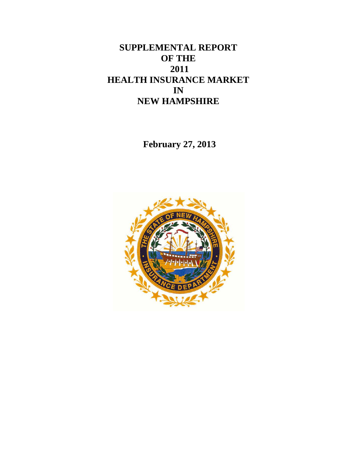# **SUPPLEMENTAL REPORT OF THE 2011 HEALTH INSURANCE MARKET IN NEW HAMPSHIRE**

**February 27, 2013**

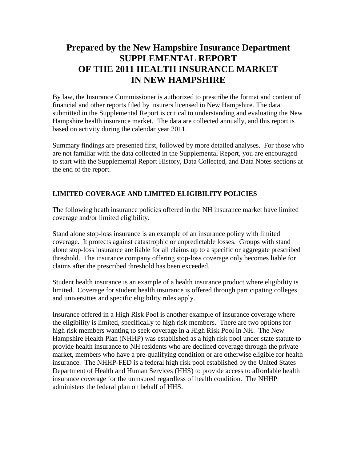# **Prepared by the New Hampshire Insurance Department SUPPLEMENTAL REPORT OF THE 2011 HEALTH INSURANCE MARKET IN NEW HAMPSHIRE**

By law, the Insurance Commissioner is authorized to prescribe the format and content of financial and other reports filed by insurers licensed in New Hampshire. The data submitted in the Supplemental Report is critical to understanding and evaluating the New Hampshire health insurance market. The data are collected annually, and this report is based on activity during the calendar year 2011.

Summary findings are presented first, followed by more detailed analyses. For those who are not familiar with the data collected in the Supplemental Report, you are encouraged to start with the Supplemental Report History, Data Collected, and Data Notes sections at the end of the report.

# **LIMITED COVERAGE AND LIMITED ELIGIBILITY POLICIES**

The following heath insurance policies offered in the NH insurance market have limited coverage and/or limited eligibility.

Stand alone stop-loss insurance is an example of an insurance policy with limited coverage. It protects against catastrophic or unpredictable losses. Groups with stand alone stop-loss insurance are liable for all claims up to a specific or aggregate prescribed threshold. The insurance company offering stop-loss coverage only becomes liable for claims after the prescribed threshold has been exceeded.

Student health insurance is an example of a health insurance product where eligibility is limited. Coverage for student health insurance is offered through participating colleges and universities and specific eligibility rules apply.

Insurance offered in a High Risk Pool is another example of insurance coverage where the eligibility is limited, specifically to high risk members. There are two options for high risk members wanting to seek coverage in a High Risk Pool in NH. The New Hampshire Health Plan (NHHP) was established as a high risk pool under state statute to provide health insurance to NH residents who are declined coverage through the private market, members who have a pre-qualifying condition or are otherwise eligible for health insurance. The NHHP-FED is a federal high risk pool established by the United States Department of Health and Human Services (HHS) to provide access to affordable health insurance coverage for the uninsured regardless of health condition. The NHHP administers the federal plan on behalf of HHS.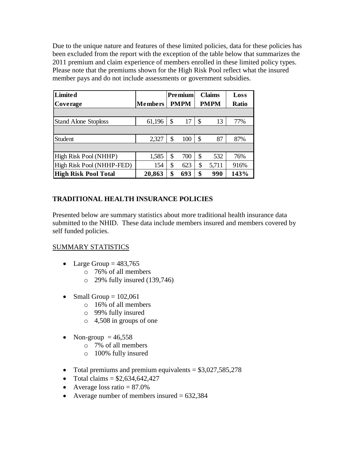Due to the unique nature and features of these limited policies, data for these policies has been excluded from the report with the exception of the table below that summarizes the 2011 premium and claim experience of members enrolled in these limited policy types. Please note that the premiums shown for the High Risk Pool reflect what the insured member pays and do not include assessments or government subsidies.

| <b>Limited</b>              |                | <b>Premium</b> |               | <b>Claims</b> | Loss         |
|-----------------------------|----------------|----------------|---------------|---------------|--------------|
| Coverage                    | <b>Members</b> | <b>PMPM</b>    | <b>PMPM</b>   |               | <b>Ratio</b> |
|                             |                |                |               |               |              |
| <b>Stand Alone Stoploss</b> | 61,196         | \$<br>17       | \$            | 13            | 77%          |
|                             |                |                |               |               |              |
| Student                     | 2,327          | \$<br>100      | $\mathcal{S}$ | 87            | 87%          |
|                             |                |                |               |               |              |
| High Risk Pool (NHHP)       | 1,585          | \$<br>700      | \$            | 532           | 76%          |
| High Risk Pool (NHHP-FED)   | 154            | \$<br>623      | \$            | 5,711         | 916%         |
| <b>High Risk Pool Total</b> | 20,863         | \$<br>693      | \$            | 990           | 143%         |

# **TRADITIONAL HEALTH INSURANCE POLICIES**

Presented below are summary statistics about more traditional health insurance data submitted to the NHID. These data include members insured and members covered by self funded policies.

## SUMMARY STATISTICS

- Large Group  $= 483,765$ 
	- o 76% of all members
	- $\degree$  29% fully insured (139,746)
- Small Group  $= 102,061$ 
	- o 16% of all members
	- o 99% fully insured
	- o 4,508 in groups of one
- Non-group  $= 46,558$ 
	- o 7% of all members
	- o 100% fully insured
- Total premiums and premium equivalents  $= $3,027,585,278$
- Total claims  $= $2,634,642,427$
- Average loss ratio  $= 87.0\%$
- Average number of members insured  $= 632,384$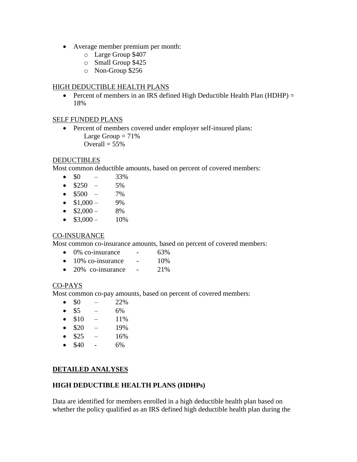- Average member premium per month:
	- o Large Group \$407
	- o Small Group \$425
	- o Non-Group \$256

#### HIGH DEDUCTIBLE HEALTH PLANS

• Percent of members in an IRS defined High Deductible Health Plan (HDHP) = 18%

#### SELF FUNDED PLANS

• Percent of members covered under employer self-insured plans: Large Group  $= 71\%$ Overall  $= 55\%$ 

#### **DEDUCTIBLES**

Most common deductible amounts, based on percent of covered members:

- $\bullet$  \$0 33%
- $\bullet$  \$250 5%
- $\bullet$  \$500 7%
- $\bullet$  \$1,000 9%
- $\bullet$  \$2,000 8%
- $\bullet$  \$3,000 10%

## CO-INSURANCE

Most common co-insurance amounts, based on percent of covered members:

- $\bullet$  0% co-insurance 63%
- $\bullet$  10% co-insurance 10%
- $\bullet$  20% co-insurance 21%

## CO-PAYS

Most common co-pay amounts, based on percent of covered members:

- $\bullet$  \$0 22%
- $\bullet$  \$5 6%
- $\bullet$  \$10 11%
- $\bullet$  \$20 19%
- $\bullet$  \$25 16%
- $\bullet$  \$40 6%

## **DETAILED ANALYSES**

## **HIGH DEDUCTIBLE HEALTH PLANS (HDHPs)**

Data are identified for members enrolled in a high deductible health plan based on whether the policy qualified as an IRS defined high deductible health plan during the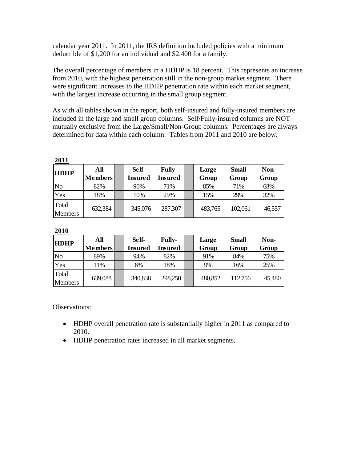calendar year 2011. In 2011, the IRS definition included policies with a minimum deductible of \$1,200 for an individual and \$2,400 for a family.

The overall percentage of members in a HDHP is 18 percent. This represents an increase from 2010, with the highest penetration still in the non-group market segment. There were significant increases to the HDHP penetration rate within each market segment, with the largest increase occurring in the small group segment.

As with all tables shown in the report, both self-insured and fully-insured members are included in the large and small group columns. Self/Fully-insured columns are NOT mutually exclusive from the Large/Small/Non-Group columns. Percentages are always determined for data within each column. Tables from 2011 and 2010 are below.

| <b>HDHP</b>             | All            |  | Self-          | <b>Fully-</b>  | Large   | <b>Small</b> | Non-   |  |
|-------------------------|----------------|--|----------------|----------------|---------|--------------|--------|--|
|                         | <b>Members</b> |  | <b>Insured</b> | <b>Insured</b> | Group   | Group        | Group  |  |
| No                      | 82%            |  | 90%            | 71%            | 85%     | 71%          | 68%    |  |
| Yes                     | 18%            |  | 10%            | 29%            | 15%     | 29%          | 32%    |  |
| Total<br><b>Members</b> | 632,384        |  | 345,076        | 287,307        | 483,765 | 102,061      | 46,557 |  |

|--|

#### **2010**

| <b>HDHP</b>      | All            | Self-          | <b>Fully-</b> | Large   | <b>Small</b> | Non-   |
|------------------|----------------|----------------|---------------|---------|--------------|--------|
|                  | <b>Members</b> | <b>Insured</b> | Insured       | Group   | Group        | Group  |
| N <sub>o</sub>   | 89%            | 94%            | 82%           | 91%     | 84%          | 75%    |
| Yes              | 11%            | 6%             | 18%           | 9%      | 16%          | 25%    |
| Total<br>Members | 639,088        | 340,838        | 298,250       | 480,852 | 112,756      | 45,480 |

Observations:

- HDHP overall penetration rate is substantially higher in 2011 as compared to 2010.
- HDHP penetration rates increased in all market segments.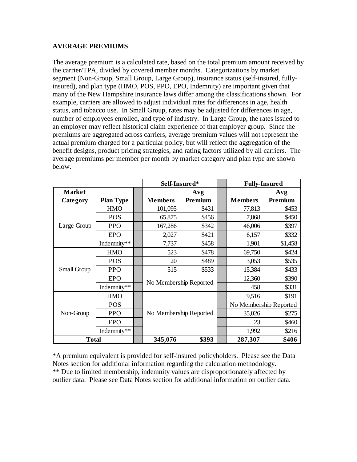#### **AVERAGE PREMIUMS**

The average premium is a calculated rate, based on the total premium amount received by the carrier/TPA, divided by covered member months. Categorizations by market segment (Non-Group, Small Group, Large Group), insurance status (self-insured, fullyinsured), and plan type (HMO, POS, PPO, EPO, Indemnity) are important given that many of the New Hampshire insurance laws differ among the classifications shown. For example, carriers are allowed to adjust individual rates for differences in age, health status, and tobacco use. In Small Group, rates may be adjusted for differences in age, number of employees enrolled, and type of industry. In Large Group, the rates issued to an employer may reflect historical claim experience of that employer group. Since the premiums are aggregated across carriers, average premium values will not represent the actual premium charged for a particular policy, but will reflect the aggregation of the benefit designs, product pricing strategies, and rating factors utilized by all carriers. The average premiums per member per month by market category and plan type are shown below.

|               |                  |  | Self-Insured*          |         |  | <b>Fully-Insured</b>   |         |  |
|---------------|------------------|--|------------------------|---------|--|------------------------|---------|--|
| <b>Market</b> |                  |  |                        | Avg     |  |                        | Avg     |  |
| Category      | <b>Plan Type</b> |  | <b>Members</b>         | Premium |  | <b>Members</b>         | Premium |  |
|               | <b>HMO</b>       |  | 101,095                | \$431   |  | 77,813                 | \$453   |  |
|               | <b>POS</b>       |  | 65,875                 | \$456   |  | 7,868                  | \$450   |  |
| Large Group   | <b>PPO</b>       |  | 167,286                | \$342   |  | 46,006                 | \$397   |  |
|               | <b>EPO</b>       |  | 2,027                  | \$421   |  | 6,157                  | \$332   |  |
|               | Indemnity**      |  | 7,737                  | \$458   |  | 1,901                  | \$1,458 |  |
|               | <b>HMO</b>       |  | 523                    | \$478   |  | 69,750                 | \$424   |  |
|               | <b>POS</b>       |  | 20                     | \$489   |  | 3,053                  | \$535   |  |
| Small Group   | <b>PPO</b>       |  | 515                    | \$533   |  | 15,384                 | \$433   |  |
|               | <b>EPO</b>       |  | No Membership Reported |         |  | 12,360                 | \$390   |  |
|               | Indemnity**      |  |                        |         |  | 458                    | \$331   |  |
|               | <b>HMO</b>       |  |                        |         |  | 9,516                  | \$191   |  |
|               | <b>POS</b>       |  |                        |         |  | No Membership Reported |         |  |
| Non-Group     | <b>PPO</b>       |  | No Membership Reported |         |  | 35,026                 | \$275   |  |
|               | <b>EPO</b>       |  |                        |         |  | 23                     | \$460   |  |
|               | Indemnity**      |  |                        |         |  | 1,992                  | \$216   |  |
| <b>Total</b>  |                  |  | 345,076                | \$393   |  | 287,307                | \$406   |  |

\*A premium equivalent is provided for self-insured policyholders. Please see the Data Notes section for additional information regarding the calculation methodology. \*\* Due to limited membership, indemnity values are disproportionately affected by outlier data. Please see Data Notes section for additional information on outlier data.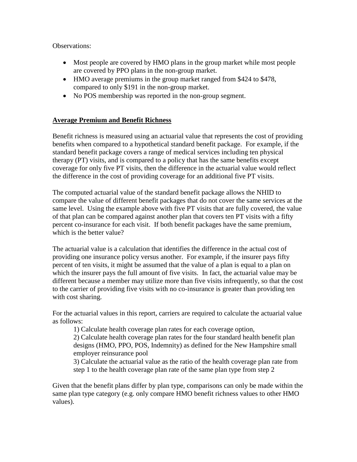Observations:

- Most people are covered by HMO plans in the group market while most people are covered by PPO plans in the non-group market.
- HMO average premiums in the group market ranged from \$424 to \$478, compared to only \$191 in the non-group market.
- No POS membership was reported in the non-group segment.

# **Average Premium and Benefit Richness**

Benefit richness is measured using an actuarial value that represents the cost of providing benefits when compared to a hypothetical standard benefit package. For example, if the standard benefit package covers a range of medical services including ten physical therapy (PT) visits, and is compared to a policy that has the same benefits except coverage for only five PT visits, then the difference in the actuarial value would reflect the difference in the cost of providing coverage for an additional five PT visits.

The computed actuarial value of the standard benefit package allows the NHID to compare the value of different benefit packages that do not cover the same services at the same level. Using the example above with five PT visits that are fully covered, the value of that plan can be compared against another plan that covers ten PT visits with a fifty percent co-insurance for each visit. If both benefit packages have the same premium, which is the better value?

The actuarial value is a calculation that identifies the difference in the actual cost of providing one insurance policy versus another. For example, if the insurer pays fifty percent of ten visits, it might be assumed that the value of a plan is equal to a plan on which the insurer pays the full amount of five visits. In fact, the actuarial value may be different because a member may utilize more than five visits infrequently, so that the cost to the carrier of providing five visits with no co-insurance is greater than providing ten with cost sharing.

For the actuarial values in this report, carriers are required to calculate the actuarial value as follows:

1) Calculate health coverage plan rates for each coverage option,

2) Calculate health coverage plan rates for the four standard health benefit plan designs (HMO, PPO, POS, Indemnity) as defined for the New Hampshire small employer reinsurance pool

3) Calculate the actuarial value as the ratio of the health coverage plan rate from step 1 to the health coverage plan rate of the same plan type from step 2

Given that the benefit plans differ by plan type, comparisons can only be made within the same plan type category (e.g. only compare HMO benefit richness values to other HMO values).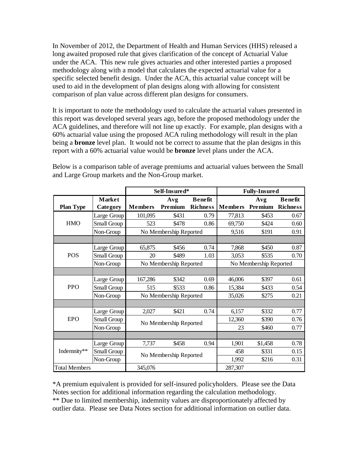In November of 2012, the Department of Health and Human Services (HHS) released a long awaited proposed rule that gives clarification of the concept of Actuarial Value under the ACA. This new rule gives actuaries and other interested parties a proposed methodology along with a model that calculates the expected actuarial value for a specific selected benefit design. Under the ACA, this actuarial value concept will be used to aid in the development of plan designs along with allowing for consistent comparison of plan value across different plan designs for consumers.

It is important to note the methodology used to calculate the actuarial values presented in this report was developed several years ago, before the proposed methodology under the ACA guidelines, and therefore will not line up exactly. For example, plan designs with a 60% actuarial value using the proposed ACA ruling methodology will result in the plan being a **bronze** level plan. It would not be correct to assume that the plan designs in this report with a 60% actuarial value would be **bronze** level plans under the ACA.

|                      |               | Self-Insured*<br><b>Fully-Insured</b> |                        |                 |                |                        |                 |
|----------------------|---------------|---------------------------------------|------------------------|-----------------|----------------|------------------------|-----------------|
|                      | <b>Market</b> |                                       | Avg                    | <b>Benefit</b>  |                | Avg                    | <b>Benefit</b>  |
| <b>Plan Type</b>     | Category      | <b>Members</b>                        | Premium                | <b>Richness</b> | <b>Members</b> | Premium                | <b>Richness</b> |
|                      | Large Group   | 101,095                               | \$431                  | 0.79            | 77,813         | \$453                  | 0.67            |
| <b>HMO</b>           | Small Group   | 523                                   | \$478                  | 0.86            | 69,750         | \$424                  | 0.60            |
|                      | Non-Group     | No Membership Reported                |                        |                 | 9,516          | \$191                  | 0.91            |
|                      |               |                                       |                        |                 |                |                        |                 |
|                      | Large Group   | 65,875                                | \$456                  | 0.74            | 7,868          | \$450                  | 0.87            |
| <b>POS</b>           | Small Group   | 20                                    | \$489                  | 1.03            | 3,053          | \$535                  | 0.70            |
|                      | Non-Group     |                                       | No Membership Reported |                 |                | No Membership Reported |                 |
|                      |               |                                       |                        |                 |                |                        |                 |
|                      | Large Group   | 167,286                               | \$342                  | 0.69            | 46,006         | \$397                  | 0.61            |
| <b>PPO</b>           | Small Group   | 515                                   | \$533                  | 0.86            | 15,384         | \$433                  | 0.54            |
|                      | Non-Group     |                                       | No Membership Reported |                 | 35,026         | \$275                  | 0.21            |
|                      |               |                                       |                        |                 |                |                        |                 |
|                      | Large Group   | 2,027                                 | \$421                  | 0.74            | 6,157          | \$332                  | 0.77            |
| <b>EPO</b>           | Small Group   |                                       | No Membership Reported |                 | 12,360         | \$390                  | 0.76            |
|                      | Non-Group     |                                       |                        |                 | 23             | \$460                  | 0.77            |
|                      |               |                                       |                        |                 |                |                        |                 |
|                      | Large Group   | 7,737                                 | \$458                  | 0.94            | 1,901          | \$1,458                | 0.78            |
| Indemnity**          | Small Group   |                                       | No Membership Reported |                 | 458            | \$331                  | 0.15            |
|                      | Non-Group     |                                       |                        |                 | 1,992          | \$216                  | 0.31            |
| <b>Total Members</b> |               | 345,076                               |                        |                 | 287,307        |                        |                 |

Below is a comparison table of average premiums and actuarial values between the Small and Large Group markets and the Non-Group market.

\*A premium equivalent is provided for self-insured policyholders. Please see the Data Notes section for additional information regarding the calculation methodology. \*\* Due to limited membership, indemnity values are disproportionately affected by outlier data. Please see Data Notes section for additional information on outlier data.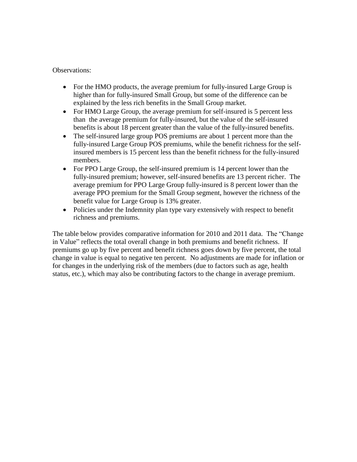#### Observations:

- For the HMO products, the average premium for fully-insured Large Group is higher than for fully-insured Small Group, but some of the difference can be explained by the less rich benefits in the Small Group market.
- For HMO Large Group, the average premium for self-insured is 5 percent less than the average premium for fully-insured, but the value of the self-insured benefits is about 18 percent greater than the value of the fully-insured benefits.
- The self-insured large group POS premiums are about 1 percent more than the fully-insured Large Group POS premiums, while the benefit richness for the selfinsured members is 15 percent less than the benefit richness for the fully-insured members.
- For PPO Large Group, the self-insured premium is 14 percent lower than the fully-insured premium; however, self-insured benefits are 13 percent richer. The average premium for PPO Large Group fully-insured is 8 percent lower than the average PPO premium for the Small Group segment, however the richness of the benefit value for Large Group is 13% greater.
- Policies under the Indemnity plan type vary extensively with respect to benefit richness and premiums.

The table below provides comparative information for 2010 and 2011 data. The "Change in Value" reflects the total overall change in both premiums and benefit richness. If premiums go up by five percent and benefit richness goes down by five percent, the total change in value is equal to negative ten percent. No adjustments are made for inflation or for changes in the underlying risk of the members (due to factors such as age, health status, etc.), which may also be contributing factors to the change in average premium.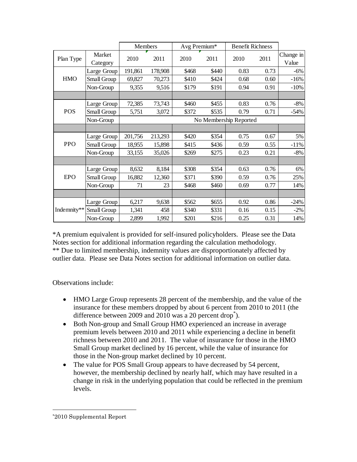|             |                    | Members |         | Avg Premium*           |       | <b>Benefit Richness</b> |      |                    |
|-------------|--------------------|---------|---------|------------------------|-------|-------------------------|------|--------------------|
| Plan Type   | Market<br>Category | 2010    | 2011    | 2010                   | 2011  | 2010                    | 2011 | Change in<br>Value |
|             | Large Group        | 191,861 | 178,908 | \$468                  | \$440 | 0.83                    | 0.73 | $-6%$              |
| <b>HMO</b>  | Small Group        | 69,827  | 70,273  | \$410                  | \$424 | 0.68                    | 0.60 | $-16%$             |
|             | Non-Group          | 9,355   | 9,516   | \$179                  | \$191 | 0.94                    | 0.91 | $-10%$             |
|             |                    |         |         |                        |       |                         |      |                    |
|             | Large Group        | 72,385  | 73,743  | \$460                  | \$455 | 0.83                    | 0.76 | $-8%$              |
| <b>POS</b>  | Small Group        | 5,751   | 3,072   | \$372                  | \$535 | 0.79                    | 0.71 | $-54%$             |
|             | Non-Group          |         |         | No Membership Reported |       |                         |      |                    |
|             |                    |         |         |                        |       |                         |      |                    |
|             | Large Group        | 201,756 | 213,293 | \$420                  | \$354 | 0.75                    | 0.67 | 5%                 |
| <b>PPO</b>  | Small Group        | 18,955  | 15,898  | \$415                  | \$436 | 0.59                    | 0.55 | $-11%$             |
|             | Non-Group          | 33,155  | 35,026  | \$269                  | \$275 | 0.23                    | 0.21 | $-8%$              |
|             |                    |         |         |                        |       |                         |      |                    |
|             | Large Group        | 8,632   | 8,184   | \$308                  | \$354 | 0.63                    | 0.76 | 6%                 |
| <b>EPO</b>  | Small Group        | 16,882  | 12,360  | \$371                  | \$390 | 0.59                    | 0.76 | 25%                |
|             | Non-Group          | 71      | 23      | \$468                  | \$460 | 0.69                    | 0.77 | 14%                |
|             |                    |         |         |                        |       |                         |      |                    |
|             | Large Group        | 6,217   | 9,638   | \$562                  | \$655 | 0.92                    | 0.86 | $-24%$             |
| Indemnity** | Small Group        | 1,341   | 458     | \$340                  | \$331 | 0.16                    | 0.15 | $-2\%$             |
|             | Non-Group          | 2,899   | 1,992   | \$201                  | \$216 | 0.25                    | 0.31 | 14%                |

\*A premium equivalent is provided for self-insured policyholders. Please see the Data Notes section for additional information regarding the calculation methodology. \*\* Due to limited membership, indemnity values are disproportionately affected by outlier data. Please see Data Notes section for additional information on outlier data.

Observations include:

- HMO Large Group represents 28 percent of the membership, and the value of the insurance for these members dropped by about 6 percent from 2010 to 2011 (the difference between 2009 and 2010 was a 20 percent drop<sup>\*</sup>).
- Both Non-group and Small Group HMO experienced an increase in average premium levels between 2010 and 2011 while experiencing a decline in benefit richness between 2010 and 2011. The value of insurance for those in the HMO Small Group market declined by 16 percent, while the value of insurance for those in the Non-group market declined by 10 percent.
- The value for POS Small Group appears to have decreased by 54 percent, however, the membership declined by nearly half, which may have resulted in a change in risk in the underlying population that could be reflected in the premium levels.

 $\overline{a}$ 

<sup>\*</sup>2010 Supplemental Report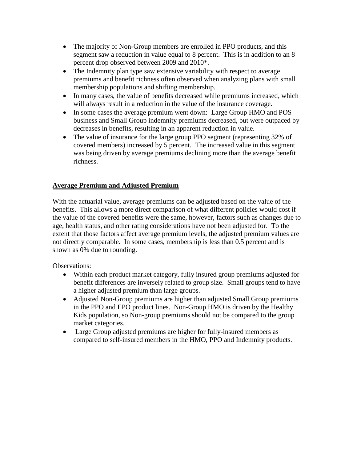- The majority of Non-Group members are enrolled in PPO products, and this segment saw a reduction in value equal to 8 percent. This is in addition to an 8 percent drop observed between 2009 and 2010\*.
- The Indemnity plan type saw extensive variability with respect to average premiums and benefit richness often observed when analyzing plans with small membership populations and shifting membership.
- In many cases, the value of benefits decreased while premiums increased, which will always result in a reduction in the value of the insurance coverage.
- In some cases the average premium went down: Large Group HMO and POS business and Small Group indemnity premiums decreased, but were outpaced by decreases in benefits, resulting in an apparent reduction in value.
- The value of insurance for the large group PPO segment (representing 32% of covered members) increased by 5 percent. The increased value in this segment was being driven by average premiums declining more than the average benefit richness.

# **Average Premium and Adjusted Premium**

With the actuarial value, average premiums can be adjusted based on the value of the benefits. This allows a more direct comparison of what different policies would cost if the value of the covered benefits were the same, however, factors such as changes due to age, health status, and other rating considerations have not been adjusted for. To the extent that those factors affect average premium levels, the adjusted premium values are not directly comparable. In some cases, membership is less than 0.5 percent and is shown as 0% due to rounding.

Observations:

- Within each product market category, fully insured group premiums adjusted for benefit differences are inversely related to group size. Small groups tend to have a higher adjusted premium than large groups.
- Adjusted Non-Group premiums are higher than adjusted Small Group premiums in the PPO and EPO product lines. Non-Group HMO is driven by the Healthy Kids population, so Non-group premiums should not be compared to the group market categories.
- Large Group adjusted premiums are higher for fully-insured members as compared to self-insured members in the HMO, PPO and Indemnity products.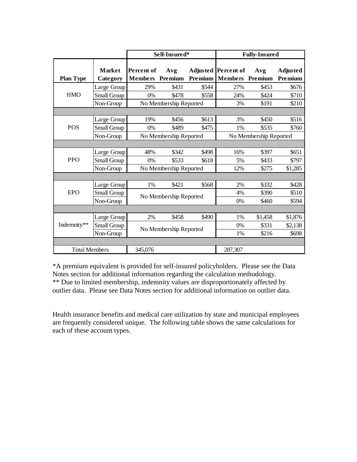|                      |                           |                                     | Self-Insured*          |         | <b>Fully-Insured</b>                         |                        |                            |  |
|----------------------|---------------------------|-------------------------------------|------------------------|---------|----------------------------------------------|------------------------|----------------------------|--|
| <b>Plan Type</b>     | <b>Market</b><br>Category | <b>Percent of</b><br><b>Members</b> | Avg<br>Premium         | Premium | <b>Adjusted Percent of</b><br><b>Members</b> | Avg<br>Premium         | <b>Adjusted</b><br>Premium |  |
|                      | Large Group               | 29%                                 | \$431                  | \$544   | 27%                                          | \$453                  | \$676                      |  |
| <b>HMO</b>           | Small Group               | $0\%$                               | \$478                  | \$558   | 24%                                          | \$424                  | \$710                      |  |
|                      | Non-Group                 |                                     | No Membership Reported |         | 3%                                           | \$191                  | \$210                      |  |
|                      |                           |                                     |                        |         |                                              |                        |                            |  |
|                      | Large Group               | 19%                                 | \$456                  | \$613   | 3%                                           | \$450                  | \$516                      |  |
| <b>POS</b>           | Small Group               | $0\%$                               | \$489                  | \$475   | 1%                                           | \$535                  | \$760                      |  |
|                      | Non-Group                 |                                     | No Membership Reported |         |                                              | No Membership Reported |                            |  |
|                      |                           |                                     |                        |         |                                              |                        |                            |  |
|                      | Large Group               | 48%                                 | \$342                  | \$498   | 16%                                          | \$397                  | \$651                      |  |
| <b>PPO</b>           | Small Group               | $0\%$                               | \$533                  | \$618   | 5%                                           | \$433                  | \$797                      |  |
|                      | Non-Group                 |                                     | No Membership Reported |         | 12%                                          | \$275                  | \$1,285                    |  |
|                      |                           |                                     |                        |         |                                              |                        |                            |  |
|                      | Large Group               | 1%                                  | \$421                  | \$568   | 2%                                           | \$332                  | \$428                      |  |
| <b>EPO</b>           | Small Group               |                                     | No Membership Reported |         | 4%                                           | \$390                  | \$510                      |  |
|                      | Non-Group                 |                                     |                        |         | 0%                                           | \$460                  | \$594                      |  |
|                      |                           |                                     |                        |         |                                              |                        |                            |  |
|                      | Large Group               | 2%                                  | \$458                  | \$490   | 1%                                           | \$1,458                | \$1,876                    |  |
| Indemnity**          | Small Group               |                                     |                        |         | 0%                                           | \$331                  | \$2,138                    |  |
|                      | Non-Group                 | No Membership Reported              |                        |         | 1%                                           | \$216                  | \$698                      |  |
|                      |                           |                                     |                        |         |                                              |                        |                            |  |
| <b>Total Members</b> |                           | 345,076                             |                        |         | 287,307                                      |                        |                            |  |

\*A premium equivalent is provided for self-insured policyholders. Please see the Data Notes section for additional information regarding the calculation methodology. \*\* Due to limited membership, indemnity values are disproportionately affected by outlier data. Please see Data Notes section for additional information on outlier data.

Health insurance benefits and medical care utilization by state and municipal employees are frequently considered unique. The following table shows the same calculations for each of these account types.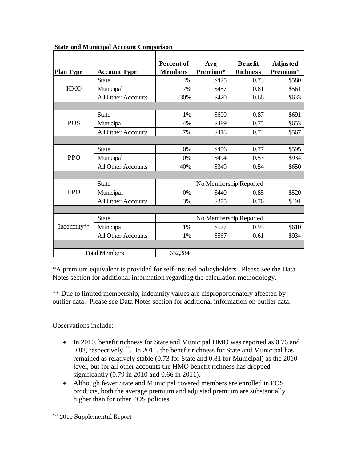|                  |                           | Percent of             | Avg                    | <b>Benefit</b>  | <b>Adjusted</b> |  |  |  |
|------------------|---------------------------|------------------------|------------------------|-----------------|-----------------|--|--|--|
| <b>Plan Type</b> | <b>Account Type</b>       | <b>Members</b>         | Premium*               | <b>Richness</b> | Premium*        |  |  |  |
|                  | <b>State</b>              | 4%                     | \$425                  | 0.73            | \$580           |  |  |  |
| <b>HMO</b>       | Municipal                 | 7%                     | \$457                  | 0.81            | \$561           |  |  |  |
|                  | <b>All Other Accounts</b> | 30%                    | \$420                  | 0.66            | \$633           |  |  |  |
|                  |                           |                        |                        |                 |                 |  |  |  |
|                  | <b>State</b>              | 1%                     | \$600                  | 0.87            | \$691           |  |  |  |
| <b>POS</b>       | Municipal                 | 4%                     | \$489                  | 0.75            | \$653           |  |  |  |
|                  | All Other Accounts        | 7%                     | \$418                  | 0.74            | \$567           |  |  |  |
|                  |                           |                        |                        |                 |                 |  |  |  |
| <b>PPO</b>       | <b>State</b>              | 0%                     | \$456                  | 0.77            | \$595           |  |  |  |
|                  | Municipal                 | $0\%$                  | \$494                  | 0.53            | \$934           |  |  |  |
|                  | All Other Accounts        | 40%                    | \$349                  | 0.54            | \$650           |  |  |  |
|                  |                           |                        |                        |                 |                 |  |  |  |
|                  | <b>State</b>              | No Membership Reported |                        |                 |                 |  |  |  |
| <b>EPO</b>       | Municipal                 | $0\%$                  | \$440                  | 0.85            | \$520           |  |  |  |
|                  | All Other Accounts        | 3%                     | \$375                  | 0.76            | \$491           |  |  |  |
|                  |                           |                        |                        |                 |                 |  |  |  |
|                  | <b>State</b>              |                        | No Membership Reported |                 |                 |  |  |  |
| Indemnity**      | Municipal                 | 1%                     | \$577                  | 0.95            | \$610           |  |  |  |
|                  | All Other Accounts        | 1%                     | \$567                  | 0.61            | \$934           |  |  |  |
|                  |                           |                        |                        |                 |                 |  |  |  |
|                  | <b>Total Members</b>      | 632,384                |                        |                 |                 |  |  |  |

**State and Municipal Account Comparison**

\*A premium equivalent is provided for self-insured policyholders. Please see the Data Notes section for additional information regarding the calculation methodology.

\*\* Due to limited membership, indemnity values are disproportionately affected by outlier data. Please see Data Notes section for additional information on outlier data.

Observations include:

- In 2010, benefit richness for State and Municipal HMO was reported as 0.76 and 0.82, respectively<sup>\*\*\*</sup>. In 2011, the benefit richness for State and Municipal has remained as relatively stable (0.73 for State and 0.81 for Municipal) as the 2010 level, but for all other accounts the HMO benefit richness has dropped significantly (0.79 in 2010 and 0.66 in 2011).
- Although fewer State and Municipal covered members are enrolled in POS products, both the average premium and adjusted premium are substantially higher than for other POS policies.

 $\overline{a}$ 

<sup>\*\*\*</sup> 2010 Supplemental Report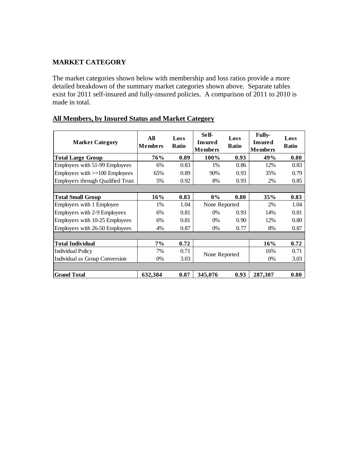# **MARKET CATEGORY**

The market categories shown below with membership and loss ratios provide a more detailed breakdown of the summary market categories shown above. Separate tables exist for 2011 self-insured and fully-insured policies. A comparison of 2011 to 2010 is made in total.

| <b>Market Category</b>                   | All<br><b>Members</b> | Loss<br><b>Ratio</b> | Self-<br><b>Insured</b><br><b>Members</b> | Loss<br><b>Ratio</b> | <b>Fully-</b><br><b>Insured</b><br><b>Members</b> | Loss<br><b>Ratio</b> |
|------------------------------------------|-----------------------|----------------------|-------------------------------------------|----------------------|---------------------------------------------------|----------------------|
| <b>Total Large Group</b>                 | 76%                   | 0.89                 | 100%                                      | 0.93                 | 49%                                               | 0.80                 |
| Employers with 51-99 Employees           | 6%                    | 0.83                 | 1%                                        | 0.86                 | 12%                                               | 0.83                 |
| Employers with $>=100$ Employees         | 65%                   | 0.89                 | 90%                                       | 0.93                 | 35%                                               | 0.79                 |
| <b>Employers through Qualified Trust</b> | 5%                    | 0.92                 | 8%                                        | 0.93                 | 2%                                                | 0.85                 |
|                                          |                       |                      |                                           |                      |                                                   |                      |
| <b>Total Small Group</b>                 | 16%                   | 0.83                 | $0\%$                                     | 0.80                 | 35%                                               | 0.83                 |
| Employers with 1 Employee                | 1%                    | 1.04                 | None Reported                             |                      | 2%                                                | 1.04                 |
| Employers with 2-9 Employees             | 6%                    | 0.81                 | 0%                                        | 0.93                 | 14%                                               | 0.81                 |
| Employers with 10-25 Employees           | 6%                    | 0.81                 | 0%                                        | 0.90                 | 12%                                               | 0.80                 |
| Employers with 26-50 Employees           | 4%                    | 0.87                 | 0%                                        | 0.77                 | 8%                                                | 0.87                 |
|                                          |                       |                      |                                           |                      |                                                   |                      |
| Total Individual                         | 7%                    | 0.72                 |                                           |                      | 16%                                               | 0.72                 |
| Individual Policy                        | 7%                    | 0.71                 |                                           |                      | 16%                                               | 0.71                 |
| Individual as Group Conversion           | $0\%$                 | 3.03                 | None Reported                             |                      | 0%                                                | 3.03                 |
|                                          |                       |                      |                                           |                      |                                                   |                      |
| <b>Grand Total</b>                       | 632,384               | 0.87                 | 345,076                                   | 0.93                 | 287,307                                           | 0.80                 |

## **All Members, by Insured Status and Market Category**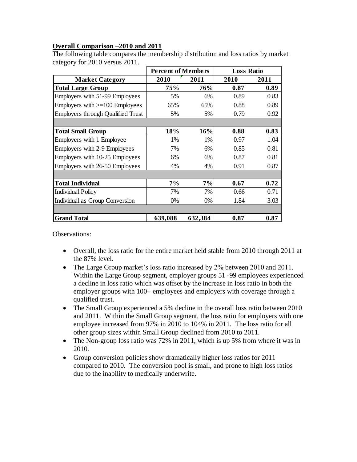# **Overall Comparison –2010 and 2011**

|                                          | <b>Percent of Members</b> |         | <b>Loss Ratio</b> |      |  |
|------------------------------------------|---------------------------|---------|-------------------|------|--|
| <b>Market Category</b>                   | 2010                      | 2011    | 2010              | 2011 |  |
| <b>Total Large Group</b>                 | 75%                       | 76%     | 0.87              | 0.89 |  |
| Employers with 51-99 Employees           | 5%                        | 6%      | 0.89              | 0.83 |  |
| Employers with $>=100$ Employees         | 65%                       | 65%     | 0.88              | 0.89 |  |
| <b>Employers through Qualified Trust</b> | 5%                        | 5%      | 0.79              | 0.92 |  |
|                                          |                           |         |                   |      |  |
| <b>Total Small Group</b>                 | 18%                       | 16%     | 0.88              | 0.83 |  |
| Employers with 1 Employee                | 1%                        | 1%      | 0.97              | 1.04 |  |
| Employers with 2-9 Employees             | 7%                        | 6%      | 0.85              | 0.81 |  |
| Employers with 10-25 Employees           | 6%                        | 6%      | 0.87              | 0.81 |  |
| Employers with 26-50 Employees           | 4%                        | 4%      | 0.91              | 0.87 |  |
|                                          |                           |         |                   |      |  |
| <b>Total Individual</b>                  | 7%                        | 7%      | 0.67              | 0.72 |  |
| <b>Individual Policy</b>                 | 7%                        | 7%      | 0.66              | 0.71 |  |
| <b>Individual as Group Conversion</b>    | 0%                        | 0%      | 1.84              | 3.03 |  |
|                                          |                           |         |                   |      |  |
| <b>Grand Total</b>                       | 639,088                   | 632,384 | 0.87              | 0.87 |  |

The following table compares the membership distribution and loss ratios by market category for 2010 versus 2011.

Observations:

- Overall, the loss ratio for the entire market held stable from 2010 through 2011 at the 87% level.
- The Large Group market's loss ratio increased by 2% between 2010 and 2011. Within the Large Group segment, employer groups 51 -99 employees experienced a decline in loss ratio which was offset by the increase in loss ratio in both the employer groups with 100+ employees and employers with coverage through a qualified trust.
- The Small Group experienced a 5% decline in the overall loss ratio between 2010 and 2011. Within the Small Group segment, the loss ratio for employers with one employee increased from 97% in 2010 to 104% in 2011. The loss ratio for all other group sizes within Small Group declined from 2010 to 2011.
- The Non-group loss ratio was 72% in 2011, which is up 5% from where it was in 2010.
- Group conversion policies show dramatically higher loss ratios for 2011 compared to 2010. The conversion pool is small, and prone to high loss ratios due to the inability to medically underwrite.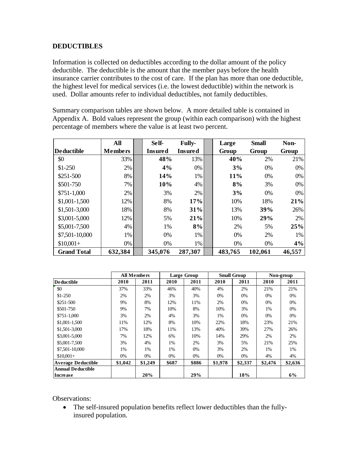# **DEDUCTIBLES**

Information is collected on deductibles according to the dollar amount of the policy deductible. The deductible is the amount that the member pays before the health insurance carrier contributes to the cost of care. If the plan has more than one deductible, the highest level for medical services (i.e. the lowest deductible) within the network is used. Dollar amounts refer to individual deductibles, not family deductibles.

Summary comparison tables are shown below. A more detailed table is contained in Appendix A. Bold values represent the group (within each comparison) with the highest percentage of members where the value is at least two percent.

|                    | All            | Self-          | <b>Fully-</b>  | Large   | <b>Small</b> | Non-   |
|--------------------|----------------|----------------|----------------|---------|--------------|--------|
| <b>Deductible</b>  | <b>Members</b> | <b>Insured</b> | <b>Insured</b> | Group   | Group        | Group  |
| \$0                | 33%            | 48%            | 13%            | 40%     | 2%           | 21%    |
| $$1-250$           | 2%             | 4%             | 0%             | 3%      | 0%           | 0%     |
| \$251-500          | 8%             | 14%            | 1%             | 11%     | 0%           | 0%     |
| \$501-750          | 7%             | 10%            | 4%             | 8%      | 3%           | 0%     |
| $$751-1,000$       | 2%             | 3%             | 2%             | 3%      | $0\%$        | 0%     |
| $$1,001-1,500$     | 12%            | 8%             | 17%            | 10%     | 18%          | 21%    |
| \$1,501-3,000      | 18%            | 8%             | 31%            | 13%     | 39%          | 26%    |
| \$3,001-5,000      | 12%            | 5%             | 21%            | 10%     | 29%          | 2%     |
| \$5,001-7,500      | 4%             | 1%             | 8%             | 2%      | 5%           | 25%    |
| \$7,501-10,000     | 1%             | 0%             | 1%             | 0%      | 2%           | 1%     |
| $$10,001+$         | 0%             | 0%             | 1%             | 0%      | 0%           | 4%     |
| <b>Grand Total</b> | 632,384        | 345,076        | 287,307        | 483,765 | 102,061      | 46,557 |

|                           |         | <b>All Members</b> |       | <b>Large Group</b> |         | <b>Small Group</b> |         | Non-group |
|---------------------------|---------|--------------------|-------|--------------------|---------|--------------------|---------|-----------|
| <b>Deductible</b>         | 2010    | 2011               | 2010  | 2011               | 2010    | 2011               | 2010    | 2011      |
| \$0                       | 37%     | 33%                | 46%   | 40%                | 4%      | 2%                 | 21%     | 21%       |
| $$1-250$                  | 2%      | 2%                 | 3%    | 3%                 | 0%      | 0%                 | $0\%$   | 0%        |
| \$251-500                 | 9%      | 8%                 | 12%   | 11%                | 2%      | $0\%$              | 0%      | $0\%$     |
| \$501-750                 | 9%      | 7%                 | 10%   | 8%                 | 10%     | 3%                 | 1%      | 0%        |
| \$751-1.000               | 3%      | 2%                 | 4%    | 3%                 | 1%      | 0%                 | $0\%$   | 0%        |
| \$1,001-1,500             | 11%     | 12%                | 8%    | 10%                | 22%     | 18%                | 23%     | 21%       |
| \$1,501-3,000             | 17%     | 18%                | 11%   | 13%                | 40%     | 39%                | 27%     | 26%       |
| \$3,001-5,000             | 7%      | 12%                | 6%    | 10%                | 14%     | 29%                | 2%      | 2%        |
| \$5,001-7,500             | 3%      | 4%                 | 1%    | 2%                 | 3%      | 5%                 | 21%     | 25%       |
| \$7,501-10,000            | 1%      | 1%                 | 1%    | 0%                 | 3%      | 2%                 | 1%      | 1%        |
| $$10,001+$                | 0%      | 0%                 | 0%    | 0%                 | 0%      | 0%                 | 4%      | 4%        |
| <b>Average Deductible</b> | \$1,042 | \$1,249            | \$687 | \$886              | \$1,978 | \$2,337            | \$2,476 | \$2,636   |
| <b>Annual Deductible</b>  |         |                    |       |                    |         |                    |         |           |
| <b>Increase</b>           |         | 20%                |       | 29%                |         | 18%                |         | 6%        |

Observations:

 The self-insured population benefits reflect lower deductibles than the fullyinsured population.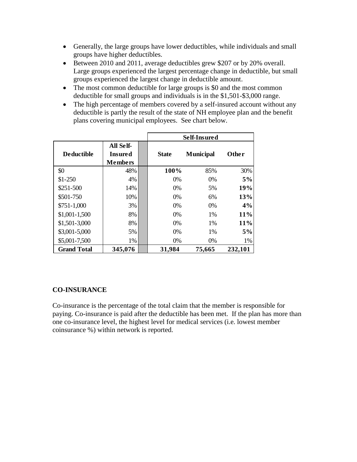- Generally, the large groups have lower deductibles, while individuals and small groups have higher deductibles.
- Between 2010 and 2011, average deductibles grew \$207 or by 20% overall. Large groups experienced the largest percentage change in deductible, but small groups experienced the largest change in deductible amount.
- The most common deductible for large groups is \$0 and the most common deductible for small groups and individuals is in the \$1,501-\$3,000 range.
- The high percentage of members covered by a self-insured account without any deductible is partly the result of the state of NH employee plan and the benefit plans covering municipal employees. See chart below.

|                    |                                        |              | Self-Insured     |              |
|--------------------|----------------------------------------|--------------|------------------|--------------|
| <b>Deductible</b>  | All Self-<br>Insured<br><b>Members</b> | <b>State</b> | <b>Municipal</b> | <b>Other</b> |
| \$0                | 48%                                    | 100%         | 85%              | 30%          |
| $$1-250$           | 4%                                     | 0%           | 0%               | 5%           |
| \$251-500          | 14%                                    | 0%           | 5%               | 19%          |
| \$501-750          | 10%                                    | 0%           | 6%               | 13%          |
| $$751-1,000$       | 3%                                     | 0%           | $0\%$            | 4%           |
| $$1,001-1,500$     | 8%                                     | 0%           | $1\%$            | 11%          |
| \$1,501-3,000      | 8%                                     | 0%           | $1\%$            | 11%          |
| \$3,001-5,000      | 5%                                     | 0%           | 1%               | 5%           |
| \$5,001-7,500      | 1%                                     | 0%           | 0%               | 1%           |
| <b>Grand Total</b> | 345,076                                | 31,984       | 75,665           | 232,101      |

## **CO-INSURANCE**

Co-insurance is the percentage of the total claim that the member is responsible for paying. Co-insurance is paid after the deductible has been met. If the plan has more than one co-insurance level, the highest level for medical services (i.e. lowest member coinsurance %) within network is reported.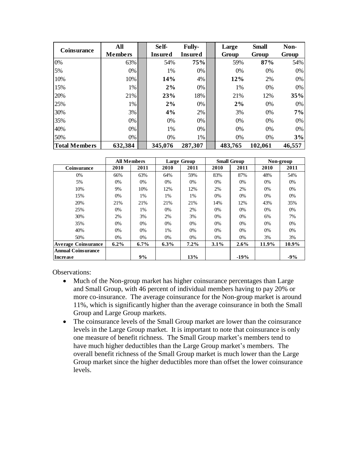| Coinsurance          | All            | Self-   | <b>Fully-</b>  | Large   | <b>Small</b> | Non-   |
|----------------------|----------------|---------|----------------|---------|--------------|--------|
|                      | <b>Members</b> | Insured | <b>Insured</b> | Group   | Group        | Group  |
| 0%                   | 63%            | 54%     | 75%            | 59%     | 87%          | 54%    |
| 5%                   | $0\%$          | 1%      | 0%             | 0%      | 0%           | 0%     |
| 10%                  | 10%            | 14%     | 4%             | 12%     | 2%           | $0\%$  |
| 15%                  | 1%             | 2%      | 0%             | 1%      | 0%           | $0\%$  |
| 20%                  | 21%            | 23%     | 18%            | 21%     | 12%          | 35%    |
| 25%                  | 1%             | 2%      | 0%             | 2%      | 0%           | 0%     |
| 30%                  | 3%             | 4%      | 2%             | 3%      | 0%           | 7%     |
| 35%                  | 0%             | 0%      | $0\%$          | 0%      | 0%           | 0%     |
| 40%                  | 0%             | 1%      | $0\%$          | 0%      | 0%           | $0\%$  |
| 50%                  | $0\%$          | $0\%$   | 1%             | $0\%$   | 0%           | 3%     |
| <b>Total Members</b> | 632,384        | 345,076 | 287,307        | 483,765 | 102,061      | 46,557 |

|                            |         | <b>All Members</b> |         | <b>Large Group</b> |         | <b>Small Group</b> |       | Non-group |
|----------------------------|---------|--------------------|---------|--------------------|---------|--------------------|-------|-----------|
| Coinsurance                | 2010    | 2011               | 2010    | 2011               | 2010    | 2011               | 2010  | 2011      |
| 0%                         | 66%     | 63%                | 64%     | 59%                | 83%     | 87%                | 48%   | 54%       |
| 5%                         | 0%      | 0%                 | 0%      | $0\%$              | 0%      | 0%                 | 0%    | 0%        |
| 10%                        | 9%      | 10%                | 12%     | 12%                | 2%      | 2%                 | 0%    | 0%        |
| 15%                        | $0\%$   | 1%                 | 1%      | 1%                 | $0\%$   | 0%                 | 0%    | 0%        |
| 20%                        | 21%     | 21%                | 21%     | 21%                | 14%     | 12%                | 43%   | 35%       |
| 25%                        | 0%      | 1%                 | $0\%$   | 2%                 | 0%      | $0\%$              | 0%    | 0%        |
| 30%                        | 2%      | 3%                 | 2%      | 3%                 | $0\%$   | 0%                 | 6%    | 7%        |
| 35%                        | 0%      | 0%                 | $0\%$   | $0\%$              | 0%      | 0%                 | 0%    | 0%        |
| 40%                        | $0\%$   | $0\%$              | 1%      | $0\%$              | 0%      | 0%                 | $0\%$ | 0%        |
| 50%                        | 0%      | 0%                 | 0%      | $0\%$              | 0%      | 0%                 | 3%    | 3%        |
| <b>Average Coinsurance</b> | $6.2\%$ | $6.7\%$            | $6.3\%$ | $7.2\%$            | $3.1\%$ | $2.6\%$            | 11.9% | 10.9%     |
| <b>Annual Coinsurance</b>  |         |                    |         |                    |         |                    |       |           |
| Increase                   |         | 9%                 |         | 13%                |         | $-19%$             |       | $-9%$     |

Observations:

- Much of the Non-group market has higher coinsurance percentages than Large and Small Group, with 46 percent of individual members having to pay 20% or more co-insurance. The average coinsurance for the Non-group market is around 11%, which is significantly higher than the average coinsurance in both the Small Group and Large Group markets.
- The coinsurance levels of the Small Group market are lower than the coinsurance levels in the Large Group market. It is important to note that coinsurance is only one measure of benefit richness. The Small Group market's members tend to have much higher deductibles than the Large Group market's members. The overall benefit richness of the Small Group market is much lower than the Large Group market since the higher deductibles more than offset the lower coinsurance levels.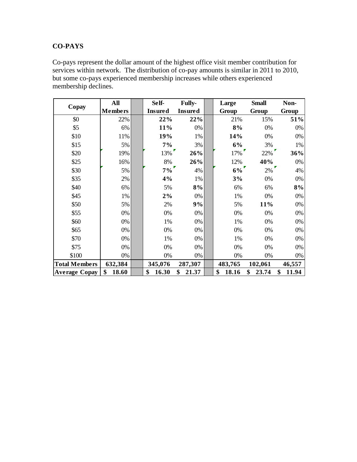# **CO-PAYS**

Co-pays represent the dollar amount of the highest office visit member contribution for services within network. The distribution of co-pay amounts is similar in 2011 to 2010, but some co-pays experienced membership increases while others experienced membership declines.

|                      | All            | Self-          | <b>Fully-</b>  | Large       | <b>Small</b> | Non-        |
|----------------------|----------------|----------------|----------------|-------------|--------------|-------------|
| Copay                | <b>Members</b> | <b>Insured</b> | <b>Insured</b> | Group       | Group        | Group       |
| \$0                  | 22%            | 22%            | 22%            | 21%         | 15%          | 51%         |
| \$5                  | 6%             | 11%            | $0\%$          | 8%          | 0%           | 0%          |
| \$10                 | 11%            | 19%            | 1%             | 14%         | 0%           | $0\%$       |
| \$15                 | 5%             | 7%             | 3%             | 6%          | 3%           | 1%          |
| \$20                 | 19%            | 13%            | 26%            | 17%         | 22%          | 36%         |
| \$25                 | 16%            | 8%             | 26%            | 12%         | 40%          | $0\%$       |
| \$30                 | 5%             | $7\%$          | 4%             | $6\%$       | 2%           | 4%          |
| \$35                 | 2%             | 4%             | 1%             | 3%          | 0%           | $0\%$       |
| \$40                 | 6%             | 5%             | 8%             | 6%          | 6%           | 8%          |
| \$45                 | 1%             | 2%             | $0\%$          | 1%          | 0%           | 0%          |
| \$50                 | 5%             | 2%             | 9%             | 5%          | 11%          | 0%          |
| \$55                 | 0%             | 0%             | $0\%$          | 0%          | 0%           | 0%          |
| \$60                 | 0%             | 1%             | 0%             | 1%          | 0%           | $0\%$       |
| \$65                 | $0\%$          | 0%             | $0\%$          | 0%          | 0%           | 0%          |
| \$70                 | 0%             | 1%             | 0%             | 1%          | 0%           | 0%          |
| \$75                 | 0%             | 0%             | 0%             | 0%          | 0%           | 0%          |
| \$100                | 0%             | 0%             | 0%             | 0%          | 0%           | 0%          |
| <b>Total Members</b> | 632,384        | 345,076        | 287,307        | 483,765     | 102,061      | 46,557      |
| <b>Average Copay</b> | \$<br>18.60    | \$<br>16.30    | \$<br>21.37    | \$<br>18.16 | \$<br>23.74  | \$<br>11.94 |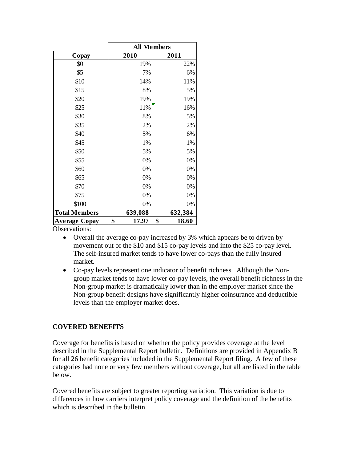|                      | <b>All Members</b> |             |
|----------------------|--------------------|-------------|
| Copay                | 2010               | 2011        |
| \$0                  | 19%                | 22%         |
| \$5                  | 7%                 | 6%          |
| \$10                 | 14%                | 11%         |
| \$15                 | 8%                 | 5%          |
| \$20                 | 19%                | 19%         |
| \$25                 | 11%                | 16%         |
| \$30                 | 8%                 | 5%          |
| \$35                 | 2%                 | 2%          |
| \$40                 | 5%                 | 6%          |
| \$45                 | 1%                 | 1%          |
| \$50                 | 5%                 | 5%          |
| \$55                 | 0%                 | 0%          |
| \$60                 | 0%                 | 0%          |
| \$65                 | 0%                 | 0%          |
| \$70                 | 0%                 | 0%          |
| \$75                 | 0%                 | 0%          |
| \$100                | 0%                 | 0%          |
| <b>Total Members</b> | 639,088            | 632,384     |
| Average Copay        | \$<br>17.97        | \$<br>18.60 |

Observations:

- Overall the average co-pay increased by 3% which appears be to driven by movement out of the \$10 and \$15 co-pay levels and into the \$25 co-pay level. The self-insured market tends to have lower co-pays than the fully insured market.
- Co-pay levels represent one indicator of benefit richness. Although the Nongroup market tends to have lower co-pay levels, the overall benefit richness in the Non-group market is dramatically lower than in the employer market since the Non-group benefit designs have significantly higher coinsurance and deductible levels than the employer market does.

## **COVERED BENEFITS**

Coverage for benefits is based on whether the policy provides coverage at the level described in the Supplemental Report bulletin. Definitions are provided in Appendix B for all 26 benefit categories included in the Supplemental Report filing. A few of these categories had none or very few members without coverage, but all are listed in the table below.

Covered benefits are subject to greater reporting variation. This variation is due to differences in how carriers interpret policy coverage and the definition of the benefits which is described in the bulletin.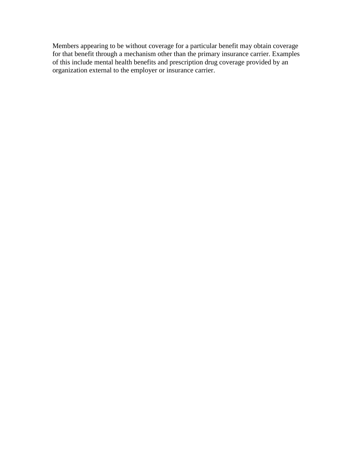Members appearing to be without coverage for a particular benefit may obtain coverage for that benefit through a mechanism other than the primary insurance carrier. Examples of this include mental health benefits and prescription drug coverage provided by an organization external to the employer or insurance carrier.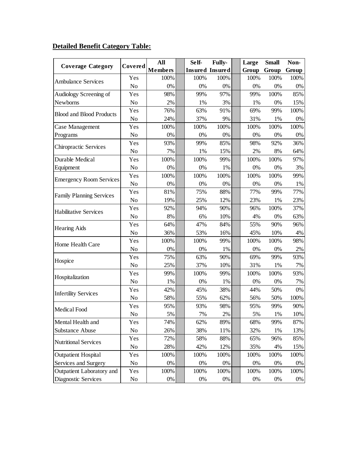# **Detailed Benefit Category Table:**

| <b>Coverage Category</b>        | Covered        | All            | Self- | <b>Fully-</b>          | Large | <b>Small</b>                                                                                         | Non-  |
|---------------------------------|----------------|----------------|-------|------------------------|-------|------------------------------------------------------------------------------------------------------|-------|
|                                 |                | <b>Members</b> |       | <b>Insured Insured</b> | Group | Group                                                                                                | Group |
| <b>Ambulance Services</b>       | Yes            | 100%           | 100%  | 100%                   | 100%  | 100%                                                                                                 | 100%  |
|                                 | N <sub>0</sub> | 0%             | 0%    | 0%                     | 0%    | 0%                                                                                                   | 0%    |
| Audiology Screening of          | Yes            | 98%            | 99%   | 97%                    | 99%   | 100%                                                                                                 | 85%   |
| Newborns                        | N <sub>o</sub> | 2%             | 1%    | 3%                     | 1%    | 0%                                                                                                   | 15%   |
| <b>Blood and Blood Products</b> | Yes            | 76%            | 63%   | 91%                    | 69%   | 99%                                                                                                  | 100%  |
|                                 | N <sub>o</sub> | 24%            | 37%   | 9%                     | 31%   | 1%                                                                                                   | 0%    |
| Case Management                 | Yes            | 100%           | 100%  | 100%                   | 100%  | 100%                                                                                                 | 100%  |
| Programs                        | N <sub>o</sub> | $0\%$          | 0%    | 0%                     | 0%    | 0%                                                                                                   | 0%    |
| Chiropractic Services           | Yes            | 93%            | 99%   | 85%                    | 98%   | 92%                                                                                                  | 36%   |
|                                 | N <sub>o</sub> | 7%             | 1%    | 15%                    | 2%    | 8%                                                                                                   | 64%   |
| Durable Medical                 | Yes            | 100%           | 100%  | 99%                    | 100%  | 100%                                                                                                 | 97%   |
| Equipment                       | N <sub>o</sub> | 0%             | 0%    | 1%                     | 0%    | 0%                                                                                                   | 3%    |
| <b>Emergency Room Services</b>  | Yes            | 100%           | 100%  | 100%                   | 100%  | 100%                                                                                                 | 99%   |
|                                 | N <sub>o</sub> | $0\%$          | 0%    | 0%                     | $0\%$ | 0%                                                                                                   | 1%    |
| <b>Family Planning Services</b> | Yes            | 81%            | 75%   | 88%                    | 77%   | 99%                                                                                                  | 77%   |
|                                 | N <sub>o</sub> | 19%            | 25%   | 12%                    | 23%   | 1%                                                                                                   | 23%   |
| <b>Habilitative Services</b>    | Yes            | 92%            | 94%   | 90%                    | 96%   | 100%                                                                                                 | 37%   |
|                                 | N <sub>o</sub> | 8%             | 6%    | 10%                    | 4%    | 0%                                                                                                   | 63%   |
| <b>Hearing Aids</b>             | Yes            | 64%            | 47%   | 84%                    | 55%   | 90%                                                                                                  | 96%   |
|                                 | N <sub>o</sub> | 36%            | 53%   | 16%                    | 45%   | 10%                                                                                                  | 4%    |
| Home Health Care                | Yes            | 100%           | 100%  | 99%                    | 100%  | 100%                                                                                                 | 98%   |
|                                 | N <sub>o</sub> | 0%             | 0%    | 1%                     | 0%    | 0%                                                                                                   | 2%    |
| Hospice                         | Yes            | 75%            | 63%   | 90%                    | 69%   | 99%                                                                                                  | 93%   |
|                                 | No             | 25%            | 37%   | 10%                    | 31%   | 1%<br>100%<br>0%<br>50%<br>50%<br>99%<br>1%<br>99%<br>1%<br>96%<br>4%<br>100%<br>0%<br>100%<br>$0\%$ | 7%    |
| Hospitalization                 | Yes            | 99%            | 100%  | 99%                    | 100%  |                                                                                                      | 93%   |
|                                 | N <sub>o</sub> | 1%             | 0%    | 1%                     | $0\%$ |                                                                                                      | 7%    |
| <b>Infertility Services</b>     | Yes            | 42%            | 45%   | 38%                    | 44%   |                                                                                                      | $0\%$ |
|                                 | N <sub>o</sub> | 58%            | 55%   | 62%                    | 56%   |                                                                                                      | 100%  |
|                                 | Yes            | 95%            | 93%   | 98%                    | 95%   |                                                                                                      | 90%   |
| Medical Food                    | No             | 5%             | 7%    | 2%                     | 5%    |                                                                                                      | 10%   |
| Mental Health and               | Yes            | 74%            | 62%   | 89%                    | 68%   |                                                                                                      | 87%   |
| <b>Substance Abuse</b>          | N <sub>0</sub> | 26%            | 38%   | 11%                    | 32%   |                                                                                                      | 13%   |
|                                 | Yes            | 72%            | 58%   | 88%                    | 65%   |                                                                                                      | 85%   |
| <b>Nutritional Services</b>     | No             | 28%            | 42%   | 12%                    | 35%   |                                                                                                      | 15%   |
| <b>Outpatient Hospital</b>      | Yes            | 100%           | 100%  | 100%                   | 100%  |                                                                                                      | 100%  |
| Services and Surgery            | No             | 0%             | 0%    | $0\%$                  | 0%    |                                                                                                      | 0%    |
| Outpatient Laboratory and       | Yes            | 100%           | 100%  | 100%                   | 100%  |                                                                                                      | 100%  |
| Diagnostic Services             | No             | $0\%$          | $0\%$ | 0%                     | $0\%$ |                                                                                                      | $0\%$ |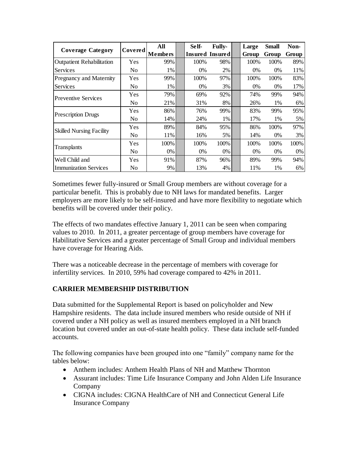|                                  |                | All            | Self- | <b>Fully-</b>   | Large | <b>Small</b> | Non-  |
|----------------------------------|----------------|----------------|-------|-----------------|-------|--------------|-------|
| <b>Coverage Category</b>         | Covered        | <b>Members</b> |       | Insured Insured | Group | Group        | Group |
| <b>Outpatient Rehabilitation</b> | Yes            | 99%            | 100%  | 98%             | 100%  | 100%         | 89%   |
| Services                         | No.            | 1%             | 0%    | 2%              | 0%    | $0\%$        | 11%   |
| Pregnancy and Maternity          | Yes            | 99%            | 100%  | 97%             | 100%  | 100%         | 83%   |
| Services                         | No.            | 1%             | 0%    | 3%              | 0%    | $0\%$        | 17%   |
| <b>Preventive Services</b>       | Yes            | 79%            | 69%   | 92%             | 74%   | 99%          | 94%   |
|                                  | N <sub>0</sub> | 21%            | 31%   | 8%              | 26%   | 1%           | 6%    |
|                                  | Yes            | 86%            | 76%   | 99%             | 83%   | 99%          | 95%   |
| <b>Prescription Drugs</b>        | No.            | 14%            | 24%   | 1%              | 17%   | 1%           | 5%    |
| <b>Skilled Nursing Facility</b>  | Yes            | 89%            | 84%   | 95%             | 86%   | 100%         | 97%   |
|                                  | No.            | 11%            | 16%   | 5%              | 14%   | $0\%$        | 3%    |
|                                  | Yes            | 100%           | 100%  | 100%            | 100%  | 100%         | 100%  |
| Transplants                      | N <sub>0</sub> | $0\%$          | 0%    | 0%              | 0%    | $0\%$        | 0%    |
| Well Child and                   | Yes            | 91%            | 87%   | 96%             | 89%   | 99%          | 94%   |
| <b>Immunization Services</b>     | No             | 9%             | 13%   | 4%              | 11%   | 1%           | 6%    |

Sometimes fewer fully-insured or Small Group members are without coverage for a particular benefit. This is probably due to NH laws for mandated benefits. Larger employers are more likely to be self-insured and have more flexibility to negotiate which benefits will be covered under their policy.

The effects of two mandates effective January 1, 2011 can be seen when comparing values to 2010. In 2011, a greater percentage of group members have coverage for Habilitative Services and a greater percentage of Small Group and individual members have coverage for Hearing Aids.

There was a noticeable decrease in the percentage of members with coverage for infertility services. In 2010, 59% had coverage compared to 42% in 2011.

# **CARRIER MEMBERSHIP DISTRIBUTION**

Data submitted for the Supplemental Report is based on policyholder and New Hampshire residents. The data include insured members who reside outside of NH if covered under a NH policy as well as insured members employed in a NH branch location but covered under an out-of-state health policy. These data include self-funded accounts.

The following companies have been grouped into one "family" company name for the tables below:

- Anthem includes: Anthem Health Plans of NH and Matthew Thornton
- Assurant includes: Time Life Insurance Company and John Alden Life Insurance Company
- CIGNA includes: CIGNA HealthCare of NH and Connecticut General Life Insurance Company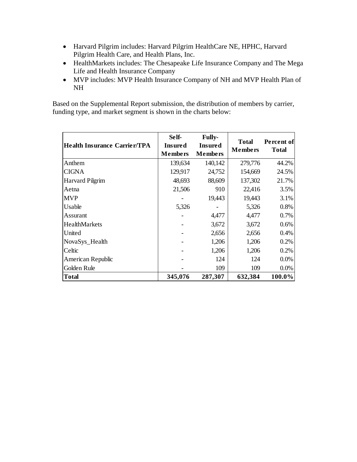- Harvard Pilgrim includes: Harvard Pilgrim HealthCare NE, HPHC, Harvard Pilgrim Health Care, and Health Plans, Inc.
- HealthMarkets includes: The Chesapeake Life Insurance Company and The Mega Life and Health Insurance Company
- MVP includes: MVP Health Insurance Company of NH and MVP Health Plan of NH

Based on the Supplemental Report submission, the distribution of members by carrier, funding type, and market segment is shown in the charts below:

| <b>Health Insurance Carrier/TPA</b> | Self-<br><b>Insured</b><br><b>Members</b> | Fully-<br><b>Insured</b><br><b>Members</b> | <b>Total</b><br><b>Members</b> | Percent of<br><b>Total</b> |
|-------------------------------------|-------------------------------------------|--------------------------------------------|--------------------------------|----------------------------|
| Anthem                              | 139,634                                   | 140,142                                    | 279,776                        | 44.2%                      |
| <b>CIGNA</b>                        | 129,917                                   | 24,752                                     | 154,669                        | 24.5%                      |
| <b>Harvard Pilgrim</b>              | 48,693                                    | 88,609                                     | 137,302                        | 21.7%                      |
| Aetna                               | 21,506                                    | 910                                        | 22,416                         | 3.5%                       |
| <b>MVP</b>                          |                                           | 19,443                                     | 19,443                         | 3.1%                       |
| Usable                              | 5,326                                     |                                            | 5,326                          | 0.8%                       |
| Assurant                            |                                           | 4,477                                      | 4,477                          | 0.7%                       |
| HealthMarkets                       |                                           | 3,672                                      | 3,672                          | 0.6%                       |
| United                              |                                           | 2,656                                      | 2,656                          | 0.4%                       |
| NovaSys_Health                      |                                           | 1,206                                      | 1,206                          | 0.2%                       |
| Celtic                              |                                           | 1,206                                      | 1,206                          | 0.2%                       |
| American Republic                   |                                           | 124                                        | 124                            | 0.0%                       |
| Golden Rule                         |                                           | 109                                        | 109                            | 0.0%                       |
| <b>Total</b>                        | 345,076                                   | 287,307                                    | 632,384                        | 100.0%                     |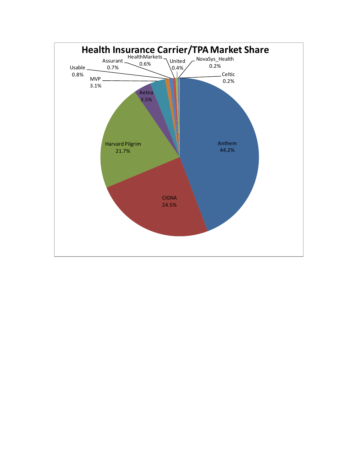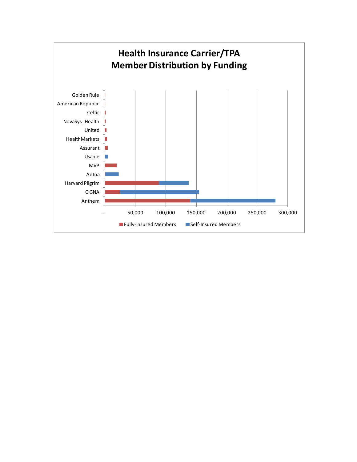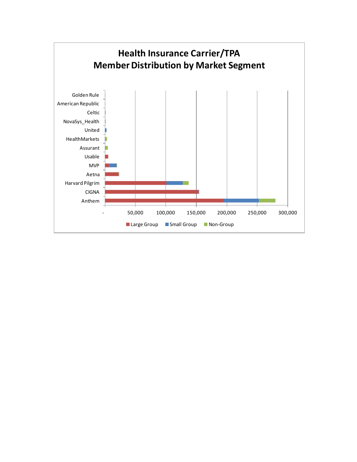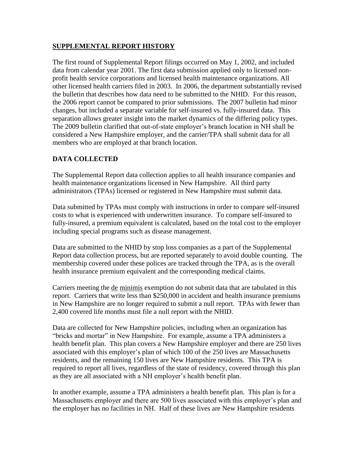## **SUPPLEMENTAL REPORT HISTORY**

The first round of Supplemental Report filings occurred on May 1, 2002, and included data from calendar year 2001. The first data submission applied only to licensed nonprofit health service corporations and licensed health maintenance organizations. All other licensed health carriers filed in 2003. In 2006, the department substantially revised the bulletin that describes how data need to be submitted to the NHID. For this reason, the 2006 report cannot be compared to prior submissions. The 2007 bulletin had minor changes, but included a separate variable for self-insured vs. fully-insured data. This separation allows greater insight into the market dynamics of the differing policy types. The 2009 bulletin clarified that out-of-state employer's branch location in NH shall be considered a New Hampshire employer, and the carrier/TPA shall submit data for all members who are employed at that branch location.

# **DATA COLLECTED**

The Supplemental Report data collection applies to all health insurance companies and health maintenance organizations licensed in New Hampshire. All third party administrators (TPAs) licensed or registered in New Hampshire must submit data.

Data submitted by TPAs must comply with instructions in order to compare self-insured costs to what is experienced with underwritten insurance. To compare self-insured to fully-insured, a premium equivalent is calculated, based on the total cost to the employer including special programs such as disease management.

Data are submitted to the NHID by stop loss companies as a part of the Supplemental Report data collection process, but are reported separately to avoid double counting. The membership covered under these polices are tracked through the TPA, as is the overall health insurance premium equivalent and the corresponding medical claims.

Carriers meeting the de minimis exemption do not submit data that are tabulated in this report. Carriers that write less than \$250,000 in accident and health insurance premiums in New Hampshire are no longer required to submit a null report. TPAs with fewer than 2,400 covered life months must file a null report with the NHID.

Data are collected for New Hampshire policies, including when an organization has "bricks and mortar" in New Hampshire. For example, assume a TPA administers a health benefit plan. This plan covers a New Hampshire employer and there are 250 lives associated with this employer"s plan of which 100 of the 250 lives are Massachusetts residents, and the remaining 150 lives are New Hampshire residents. This TPA is required to report all lives, regardless of the state of residency, covered through this plan as they are all associated with a NH employer's health benefit plan.

In another example, assume a TPA administers a health benefit plan. This plan is for a Massachusetts employer and there are 500 lives associated with this employer's plan and the employer has no facilities in NH. Half of these lives are New Hampshire residents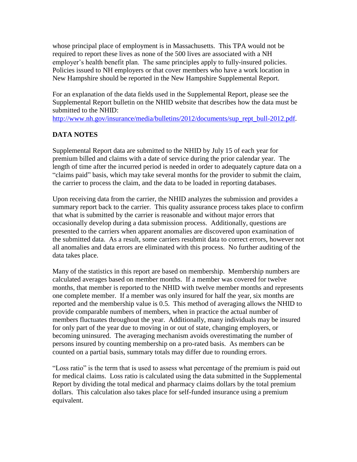whose principal place of employment is in Massachusetts. This TPA would not be required to report these lives as none of the 500 lives are associated with a NH employer's health benefit plan. The same principles apply to fully-insured policies. Policies issued to NH employers or that cover members who have a work location in New Hampshire should be reported in the New Hampshire Supplemental Report.

For an explanation of the data fields used in the Supplemental Report, please see the Supplemental Report bulletin on the NHID website that describes how the data must be submitted to the NHID:

[http://www.nh.gov/insurance/media/bulletins/2012/documents/sup\\_rept\\_bull-2012.pdf.](http://www.nh.gov/insurance/media/bulletins/2012/documents/sup_rept_bull-2012.pdf)

# **DATA NOTES**

Supplemental Report data are submitted to the NHID by July 15 of each year for premium billed and claims with a date of service during the prior calendar year. The length of time after the incurred period is needed in order to adequately capture data on a "claims paid" basis, which may take several months for the provider to submit the claim, the carrier to process the claim, and the data to be loaded in reporting databases.

Upon receiving data from the carrier, the NHID analyzes the submission and provides a summary report back to the carrier. This quality assurance process takes place to confirm that what is submitted by the carrier is reasonable and without major errors that occasionally develop during a data submission process. Additionally, questions are presented to the carriers when apparent anomalies are discovered upon examination of the submitted data. As a result, some carriers resubmit data to correct errors, however not all anomalies and data errors are eliminated with this process. No further auditing of the data takes place.

Many of the statistics in this report are based on membership. Membership numbers are calculated averages based on member months. If a member was covered for twelve months, that member is reported to the NHID with twelve member months and represents one complete member. If a member was only insured for half the year, six months are reported and the membership value is 0.5. This method of averaging allows the NHID to provide comparable numbers of members, when in practice the actual number of members fluctuates throughout the year. Additionally, many individuals may be insured for only part of the year due to moving in or out of state, changing employers, or becoming uninsured. The averaging mechanism avoids overestimating the number of persons insured by counting membership on a pro-rated basis. As members can be counted on a partial basis, summary totals may differ due to rounding errors.

"Loss ratio" is the term that is used to assess what percentage of the premium is paid out for medical claims. Loss ratio is calculated using the data submitted in the Supplemental Report by dividing the total medical and pharmacy claims dollars by the total premium dollars. This calculation also takes place for self-funded insurance using a premium equivalent.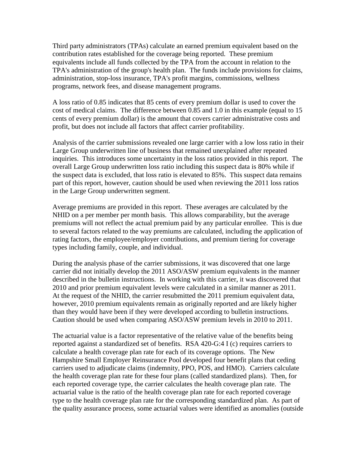Third party administrators (TPAs) calculate an earned premium equivalent based on the contribution rates established for the coverage being reported. These premium equivalents include all funds collected by the TPA from the account in relation to the TPA's administration of the group's health plan. The funds include provisions for claims, administration, stop-loss insurance, TPA's profit margins, commissions, wellness programs, network fees, and disease management programs.

A loss ratio of 0.85 indicates that 85 cents of every premium dollar is used to cover the cost of medical claims. The difference between 0.85 and 1.0 in this example (equal to 15 cents of every premium dollar) is the amount that covers carrier administrative costs and profit, but does not include all factors that affect carrier profitability.

Analysis of the carrier submissions revealed one large carrier with a low loss ratio in their Large Group underwritten line of business that remained unexplained after repeated inquiries. This introduces some uncertainty in the loss ratios provided in this report. The overall Large Group underwritten loss ratio including this suspect data is 80% while if the suspect data is excluded, that loss ratio is elevated to 85%. This suspect data remains part of this report, however, caution should be used when reviewing the 2011 loss ratios in the Large Group underwritten segment.

Average premiums are provided in this report. These averages are calculated by the NHID on a per member per month basis. This allows comparability, but the average premiums will not reflect the actual premium paid by any particular enrollee. This is due to several factors related to the way premiums are calculated, including the application of rating factors, the employee/employer contributions, and premium tiering for coverage types including family, couple, and individual.

During the analysis phase of the carrier submissions, it was discovered that one large carrier did not initially develop the 2011 ASO/ASW premium equivalents in the manner described in the bulletin instructions. In working with this carrier, it was discovered that 2010 and prior premium equivalent levels were calculated in a similar manner as 2011. At the request of the NHID, the carrier resubmitted the 2011 premium equivalent data, however, 2010 premium equivalents remain as originally reported and are likely higher than they would have been if they were developed according to bulletin instructions. Caution should be used when comparing ASO/ASW premium levels in 2010 to 2011.

The actuarial value is a factor representative of the relative value of the benefits being reported against a standardized set of benefits. RSA 420-G:4 I (c) requires carriers to calculate a health coverage plan rate for each of its coverage options. The New Hampshire Small Employer Reinsurance Pool developed four benefit plans that ceding carriers used to adjudicate claims (indemnity, PPO, POS, and HMO). Carriers calculate the health coverage plan rate for these four plans (called standardized plans). Then, for each reported coverage type, the carrier calculates the health coverage plan rate. The actuarial value is the ratio of the health coverage plan rate for each reported coverage type to the health coverage plan rate for the corresponding standardized plan. As part of the quality assurance process, some actuarial values were identified as anomalies (outside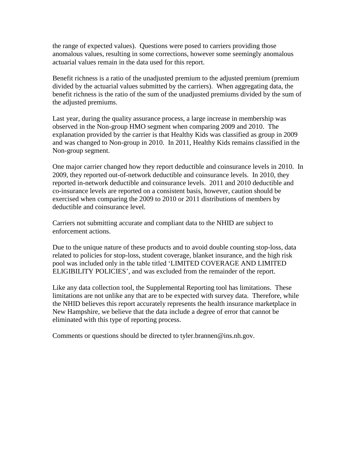the range of expected values). Questions were posed to carriers providing those anomalous values, resulting in some corrections, however some seemingly anomalous actuarial values remain in the data used for this report.

Benefit richness is a ratio of the unadjusted premium to the adjusted premium (premium divided by the actuarial values submitted by the carriers). When aggregating data, the benefit richness is the ratio of the sum of the unadjusted premiums divided by the sum of the adjusted premiums.

Last year, during the quality assurance process, a large increase in membership was observed in the Non-group HMO segment when comparing 2009 and 2010. The explanation provided by the carrier is that Healthy Kids was classified as group in 2009 and was changed to Non-group in 2010. In 2011, Healthy Kids remains classified in the Non-group segment.

One major carrier changed how they report deductible and coinsurance levels in 2010. In 2009, they reported out-of-network deductible and coinsurance levels. In 2010, they reported in-network deductible and coinsurance levels. 2011 and 2010 deductible and co-insurance levels are reported on a consistent basis, however, caution should be exercised when comparing the 2009 to 2010 or 2011 distributions of members by deductible and coinsurance level.

Carriers not submitting accurate and compliant data to the NHID are subject to enforcement actions.

Due to the unique nature of these products and to avoid double counting stop-loss, data related to policies for stop-loss, student coverage, blanket insurance, and the high risk pool was included only in the table titled "LIMITED COVERAGE AND LIMITED ELIGIBILITY POLICIES", and was excluded from the remainder of the report.

Like any data collection tool, the Supplemental Reporting tool has limitations. These limitations are not unlike any that are to be expected with survey data. Therefore, while the NHID believes this report accurately represents the health insurance marketplace in New Hampshire, we believe that the data include a degree of error that cannot be eliminated with this type of reporting process.

Comments or questions should be directed to tyler.brannen@ins.nh.gov.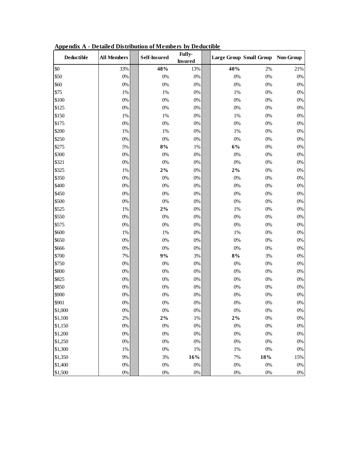| Deductible | <b>All Members</b> | Self-Insured | Fully-<br><b>Insured</b> |       | Large Group Small Group Non-Group |       |
|------------|--------------------|--------------|--------------------------|-------|-----------------------------------|-------|
| \$0        | 33%                | 48%          | 13%                      | 40%   | 2%                                | 21%   |
| \$50       | $0\%$              | $0\%$        | 0%                       | 0%    | $0\%$                             | $0\%$ |
| \$60       | $0\%$              | $0\%$        | $0\%$                    | 0%    | $0\%$                             | $0\%$ |
| \$75       | $1\%$              | $1\%$        | $0\%$                    | 1%    | 0%                                | $0\%$ |
| \$100      | $0\%$              | $0\%$        | 0%                       | 0%    | $0\%$                             | $0\%$ |
| \$125      | $0\%$              | $0\%$        | 0%                       | 0%    | 0%                                | $0\%$ |
| \$150      | $1\%$              | $1\%$        | 0%                       | 1%    | 0%                                | $0\%$ |
| \$175      | $0\%$              | $0\%$        | $0\%$                    | 0%    | $0\%$                             | $0\%$ |
| \$200      | $1\%$              | $1\%$        | 0%                       | 1%    | $0\%$                             | $0\%$ |
| \$250      | $0\%$              | $0\%$        | 0%                       | 0%    | 0%                                | $0\%$ |
| \$275      | 5%                 | $8\%$        | 1%                       | 6%    | $0\%$                             | $0\%$ |
| \$300      | $0\%$              | $0\%$        | $0\%$                    | 0%    | $0\%$                             | $0\%$ |
| \$321      | $0\%$              | $0\%$        | $0\%$                    | 0%    | $0\%$                             | $0\%$ |
| \$325      | $1\%$              | $2\%$        | 0%                       | $2\%$ | $0\%$                             | $0\%$ |
| \$350      | $0\%$              | $0\%$        | 0%                       | 0%    | $0\%$                             | $0\%$ |
| \$400      | $0\%$              | $0\%$        | 0%                       | 0%    | 0%                                | $0\%$ |
| \$450      | $0\%$              | $0\%$        | 0%                       | 0%    | 0%                                | $0\%$ |
| \$500      | $0\%$              | $0\%$        | 0%                       | 0%    | $0\%$                             | $0\%$ |
| \$525      | 1%                 | $2\%$        | 0%                       | 1%    | 0%                                | $0\%$ |
| \$550      | $0\%$              | $0\%$        | 0%                       | 0%    | 0%                                | $0\%$ |
| \$575      | $0\%$              | $0\%$        | $0\%$                    | 0%    | $0\%$                             | $0\%$ |
| \$600      | $1\%$              | $1\%$        | 0%                       | 1%    | $0\%$                             | $0\%$ |
| \$650      | $0\%$              | $0\%$        | $0\%$                    | 0%    | $0\%$                             | $0\%$ |
| \$666      | $0\%$              | $0\%$        | 0%                       | 0%    | $0\%$                             | $0\%$ |
| \$700      | 7%                 | 9%           | 3%                       | $8\%$ | 3%                                | $0\%$ |
| \$750      | $0\%$              | $0\%$        | $0\%$                    | 0%    | 0%                                | $0\%$ |
| \$800      | $0\%$              | $0\%$        | $0\%$                    | 0%    | 0%                                | $0\%$ |
| \$825      | $0\%$              | $0\%$        | 0%                       | 0%    | 0%                                | $0\%$ |
| \$850      | $0\%$              | $0\%$        | 0%                       | 0%    | 0%                                | $0\%$ |
| \$900      | $0\%$              | $0\%$        | $0\%$                    | 0%    | $0\%$                             | $0\%$ |
| \$901      | $0\%$              | $0\%$        | 0%                       | 0%    | $0\%$                             | $0\%$ |
| \$1,000    | 0%                 | 0%           | $0\%$                    | 0%    | 0%                                | 0%    |
| \$1,100    | $2\%$              | $2\%$        | 1%                       | $2\%$ | 0%                                | $0\%$ |
| \$1,150    | $0\%$              | $0\%$        | $0\%$                    | 0%    | $0\%$                             | $0\%$ |
| \$1,200    | $0\%$              | $0\%$        | 0%                       | 0%    | $0\%$                             | $0\%$ |
| \$1,250    | $0\%$              | $0\%$        | 0%                       | 0%    | 0%                                | $0\%$ |
| \$1,300    | 1%                 | $0\%$        | 1%                       | 1%    | $0\%$                             | $0\%$ |
| \$1,350    | 9%                 | $3\%$        | 16%                      | 7%    | $18\%$                            | 15%   |
| \$1,400    | $0\%$              | $0\%$        | 0%                       | $0\%$ | $0\%$                             | $0\%$ |
| \$1,500    | $0\%$              | $0\%$        | $0\%$                    | $0\%$ | $0\%$                             | $0\%$ |

**Appendix A - Detailed Distribution of Members by Deductible**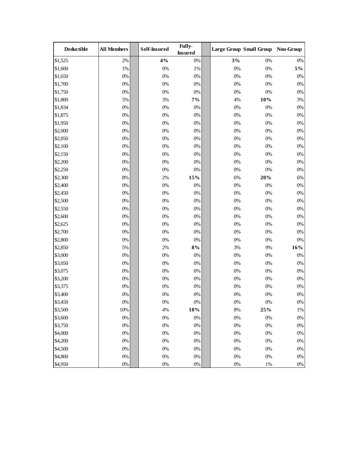| <b>Deductible</b> | <b>All Members</b> | <b>Self-Insured</b> | Fully-<br><b>Insured</b> |       | Large Group Small Group Non-Group |       |
|-------------------|--------------------|---------------------|--------------------------|-------|-----------------------------------|-------|
| \$1,525           | 2%                 | 4%                  | $0\%$                    | 3%    | 0%                                | $0\%$ |
| \$1,600           | 1%                 | 0%                  | 1%                       | 0%    | 0%                                | $5\%$ |
| \$1,650           | $0\%$              | $0\%$               | $0\%$                    | 0%    | 0%                                | $0\%$ |
| \$1,700           | $0\%$              | $0\%$               | 0%                       | $0\%$ | 0%                                | $0\%$ |
| \$1,750           | $0\%$              | 0%                  | $0\%$                    | $0\%$ | 0%                                | $0\%$ |
| \$1,800           | 5%                 | 3%                  | $7\%$                    | 4%    | 10%                               | 3%    |
| \$1,834           | $0\%$              | $0\%$               | $0\%$                    | $0\%$ | 0%                                | $0\%$ |
| \$1,875           | $0\%$              | $0\%$               | $0\%$                    | 0%    | 0%                                | $0\%$ |
| \$1,950           | $0\%$              | 0%                  | 0%                       | 0%    | 0%                                | $0\%$ |
| \$2,000           | 0%                 | 0%                  | 0%                       | 0%    | 0%                                | $0\%$ |
| \$2,050           | 0%                 | 0%                  | 0%                       | 0%    | 0%                                | $0\%$ |
| \$2,100           | $0\%$              | $0\%$               | $0\%$                    | 0%    | 0%                                | $0\%$ |
| \$2,150           | $0\%$              | $0\%$               | 0%                       | 0%    | 0%                                | $0\%$ |
| \$2,200           | $0\%$              | 0%                  | $0\%$                    | $0\%$ | 0%                                | $0\%$ |
| \$2,250           | 0%                 | $0\%$               | 0%                       | 0%    | 0%                                | $0\%$ |
| \$2,300           | $8\%$              | 2%                  | 15%                      | 6%    | 20%                               | 6%    |
| \$2,400           | $0\%$              | $0\%$               | 0%                       | $0\%$ | 0%                                | $0\%$ |
| \$2,450           | $0\%$              | 0%                  | $0\%$                    | $0\%$ | 0%                                | $0\%$ |
| \$2,500           | 0%                 | $0\%$               | 0%                       | 0%    | 0%                                | $0\%$ |
| \$2,550           | 0%                 | 0%                  | 0%                       | 0%    | 0%                                | $0\%$ |
| \$2,600           | $0\%$              | $0\%$               | $0\%$                    | 0%    | 0%                                | $0\%$ |
| \$2,625           | $0\%$              | $0\%$               | 0%                       | 0%    | 0%                                | $0\%$ |
| \$2,700           | 0%                 | $0\%$               | 0%                       | 0%    | 0%                                | $0\%$ |
| \$2,800           | 0%                 | $0\%$               | 0%                       | $0\%$ | 0%                                | $0\%$ |
| \$2,850           | 5%                 | 2%                  | $8\%$                    | 3%    | 9%                                | 16%   |
| \$3,000           | $0\%$              | $0\%$               | 0%                       | $0\%$ | 0%                                | $0\%$ |
| \$3,050           | $0\%$              | 0%                  | $0\%$                    | 0%    | 0%                                | $0\%$ |
| \$3,075           | $0\%$              | $0\%$               | $0\%$                    | 0%    | 0%                                | $0\%$ |
| \$3,200           | $0\%$              | 0%                  | 0%                       | 0%    | 0%                                | $0\%$ |
| \$3,375           | $0\%$              | 0%                  | 0%                       | 0%    | 0%                                | $0\%$ |
| \$3,400           | $0\%$              | 0%                  | $0\%$                    | 0%    | 0%                                | $0\%$ |
| \$3,450           | $0\%$              | $0\%$               | $0\%$                    | $0\%$ | 0%                                | $0\%$ |
| \$3,500           | $10\%$             | 4%                  | $18\%$                   | $8\%$ | 25%                               | $1\%$ |
| \$3,600           | $0\%$              | $0\%$               | $0\%$                    | $0\%$ | 0%                                | $0\%$ |
| \$3,750           | $0\%$              | $0\%$               | $0\%$                    | $0\%$ | 0%                                | $0\%$ |
| \$4,000           | $0\%$              | $0\%$               | $0\%$                    | $0\%$ | $0\%$                             | $0\%$ |
| \$4,200           | $0\%$              | $0\%$               | $0\%$                    | $0\%$ | 0%                                | $0\%$ |
| \$4,500           | $0\%$              | $0\%$               | $0\%$                    | $0\%$ | 0%                                | $0\%$ |
| \$4,800           | $0\%$              | $0\%$               | $0\%$                    | $0\%$ | $0\%$                             | $0\%$ |
| \$4,950           | $0\%$              | $0\%$               | $0\%$                    | $0\%$ | $1\%$                             | $0\%$ |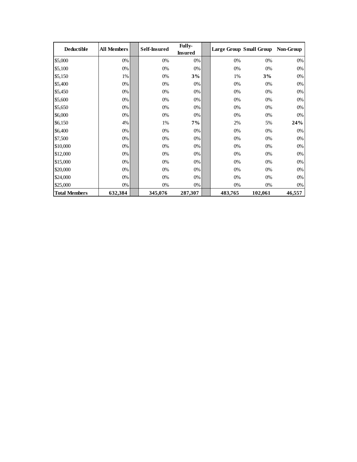| <b>Deductible</b>    | <b>All Members</b> | <b>Self-Insured</b> | <b>Fully-</b>  |         | <b>Large Group Small Group</b> | Non-Group |
|----------------------|--------------------|---------------------|----------------|---------|--------------------------------|-----------|
|                      |                    |                     | <b>Insured</b> |         |                                |           |
| \$5,000              | 0%                 | 0%                  | 0%             | 0%      | 0%                             | 0%        |
| \$5,100              | 0%                 | 0%                  | 0%             | 0%      | 0%                             | 0%        |
| \$5,150              | 1%                 | 0%                  | 3%             | 1%      | 3%                             | 0%        |
| \$5,400              | 0%                 | 0%                  | 0%             | 0%      | 0%                             | 0%        |
| \$5,450              | 0%                 | 0%                  | 0%             | 0%      | 0%                             | 0%        |
| \$5,600              | 0%                 | 0%                  | 0%             | 0%      | 0%                             | 0%        |
| \$5,650              | 0%                 | 0%                  | 0%             | 0%      | 0%                             | 0%        |
| \$6,000              | 0%                 | 0%                  | 0%             | 0%      | 0%                             | 0%        |
| \$6,150              | 4%                 | 1%                  | 7%             | 2%      | 5%                             | 24%       |
| \$6,400              | 0%                 | 0%                  | 0%             | 0%      | 0%                             | $0\%$     |
| \$7,500              | 0%                 | 0%                  | 0%             | 0%      | 0%                             | 0%        |
| \$10,000             | 0%                 | 0%                  | 0%             | 0%      | 0%                             | 0%        |
| \$12,000             | 0%                 | 0%                  | 0%             | $0\%$   | 0%                             | 0%        |
| \$15,000             | 0%                 | 0%                  | 0%             | 0%      | 0%                             | 0%        |
| \$20,000             | 0%                 | 0%                  | 0%             | 0%      | 0%                             | 0%        |
| \$24,000             | 0%                 | 0%                  | 0%             | 0%      | 0%                             | 0%        |
| \$25,000             | 0%                 | 0%                  | 0%             | 0%      | 0%                             | 0%        |
| <b>Total Members</b> | 632,384            | 345,076             | 287,307        | 483,765 | 102,061                        | 46,557    |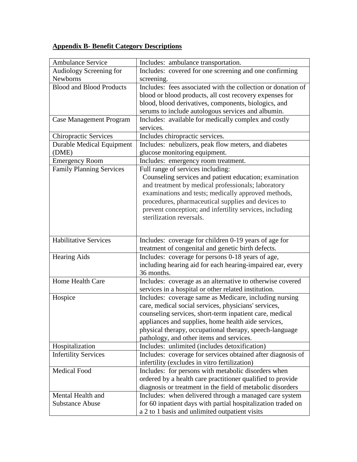# **Appendix B- Benefit Category Descriptions**

| <b>Ambulance Service</b>         | Includes: ambulance transportation.                               |
|----------------------------------|-------------------------------------------------------------------|
| Audiology Screening for          | Includes: covered for one screening and one confirming            |
| <b>Newborns</b>                  | screening.                                                        |
| <b>Blood and Blood Products</b>  | Includes: fees associated with the collection or donation of      |
|                                  | blood or blood products, all cost recovery expenses for           |
|                                  | blood, blood derivatives, components, biologics, and              |
|                                  | serums to include autologous services and albumin.                |
| Case Management Program          | Includes: available for medically complex and costly<br>services. |
| <b>Chiropractic Services</b>     | Includes chiropractic services.                                   |
| <b>Durable Medical Equipment</b> | Includes: nebulizers, peak flow meters, and diabetes              |
| (DME)                            | glucose monitoring equipment.                                     |
| <b>Emergency Room</b>            | Includes: emergency room treatment.                               |
| <b>Family Planning Services</b>  | Full range of services including:                                 |
|                                  | Counseling services and patient education; examination            |
|                                  | and treatment by medical professionals; laboratory                |
|                                  | examinations and tests; medically approved methods,               |
|                                  | procedures, pharmaceutical supplies and devices to                |
|                                  | prevent conception; and infertility services, including           |
|                                  | sterilization reversals.                                          |
|                                  |                                                                   |
| <b>Habilitative Services</b>     | Includes: coverage for children 0-19 years of age for             |
|                                  | treatment of congenital and genetic birth defects.                |
| <b>Hearing Aids</b>              | Includes: coverage for persons 0-18 years of age,                 |
|                                  | including hearing aid for each hearing-impaired ear, every        |
|                                  | 36 months.                                                        |
| Home Health Care                 | Includes: coverage as an alternative to otherwise covered         |
|                                  | services in a hospital or other related institution.              |
| Hospice                          | Includes: coverage same as Medicare, including nursing            |
|                                  | care, medical social services, physicians' services,              |
|                                  | counseling services, short-term inpatient care, medical           |
|                                  | appliances and supplies, home health aide services,               |
|                                  | physical therapy, occupational therapy, speech-language           |
|                                  | pathology, and other items and services.                          |
| Hospitalization                  | Includes: unlimited (includes detoxification)                     |
| <b>Infertility Services</b>      | Includes: coverage for services obtained after diagnosis of       |
|                                  | infertility (excludes in vitro fertilization)                     |
| <b>Medical Food</b>              | Includes: for persons with metabolic disorders when               |
|                                  | ordered by a health care practitioner qualified to provide        |
|                                  | diagnosis or treatment in the field of metabolic disorders        |
| Mental Health and                | Includes: when delivered through a managed care system            |
| <b>Substance Abuse</b>           | for 60 inpatient days with partial hospitalization traded on      |
|                                  | a 2 to 1 basis and unlimited outpatient visits                    |